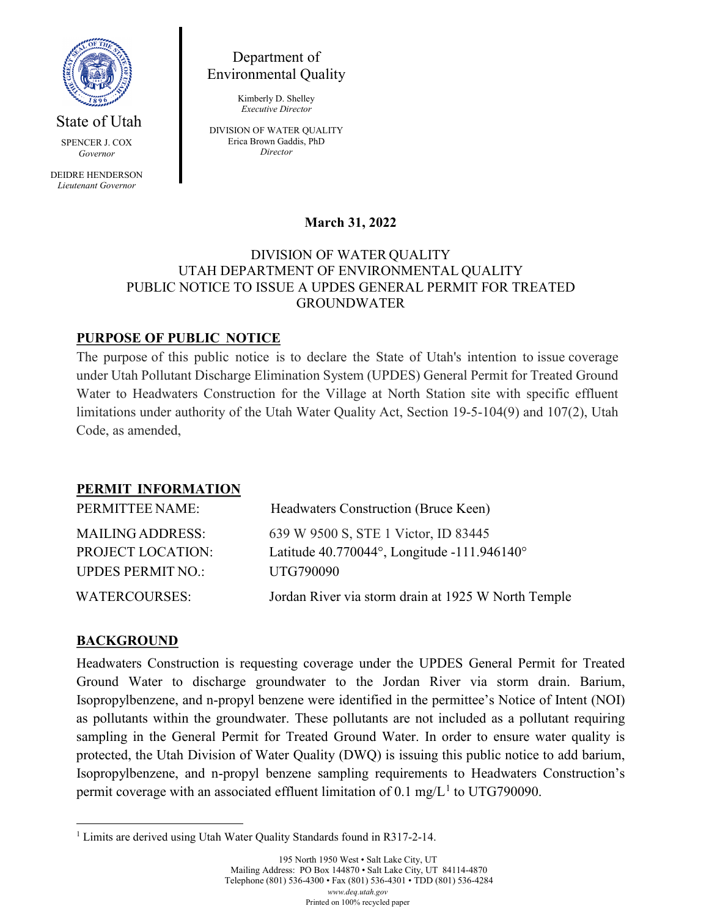

State of Utah

SPENCER J. COX *Governor*

DEIDRE HENDERSON *Lieutenant Governor*

Department of Environmental Quality

> Kimberly D. Shelley *Executive Director*

DIVISION OF WATER QUALITY Erica Brown Gaddis, PhD *Director*

## **March 31, 2022**

#### DIVISION OF WATER QUALITY UTAH DEPARTMENT OF ENVIRONMENTAL QUALITY PUBLIC NOTICE TO ISSUE A UPDES GENERAL PERMIT FOR TREATED GROUNDWATER

## **PURPOSE OF PUBLIC NOTICE**

The purpose of this public notice is to declare the State of Utah's intention to issue coverage under Utah Pollutant Discharge Elimination System (UPDES) General Permit for Treated Ground Water to Headwaters Construction for the Village at North Station site with specific effluent limitations under authority of the Utah Water Quality Act, Section 19-5-104(9) and 107(2), Utah Code, as amended,

### **PERMIT INFORMATION**

| PERMITTEE NAME:          | Headwaters Construction (Bruce Keen)                |
|--------------------------|-----------------------------------------------------|
| <b>MAILING ADDRESS:</b>  | 639 W 9500 S, STE 1 Victor, ID 83445                |
| <b>PROJECT LOCATION:</b> | Latitude $40.770044$ °, Longitude -111.946140°      |
| <b>UPDES PERMIT NO.:</b> | UTG790090                                           |
| <b>WATERCOURSES:</b>     | Jordan River via storm drain at 1925 W North Temple |

### **BACKGROUND**

Headwaters Construction is requesting coverage under the UPDES General Permit for Treated Ground Water to discharge groundwater to the Jordan River via storm drain. Barium, Isopropylbenzene, and n-propyl benzene were identified in the permittee's Notice of Intent (NOI) as pollutants within the groundwater. These pollutants are not included as a pollutant requiring sampling in the General Permit for Treated Ground Water. In order to ensure water quality is protected, the Utah Division of Water Quality (DWQ) is issuing this public notice to add barium, Isopropylbenzene, and n-propyl benzene sampling requirements to Headwaters Construction's permit coverage with an associated effluent limitation of 0.[1](#page-0-0) mg/ $L<sup>1</sup>$  to UTG790090.

<span id="page-0-0"></span><sup>&</sup>lt;sup>1</sup> Limits are derived using Utah Water Quality Standards found in R317-2-14.